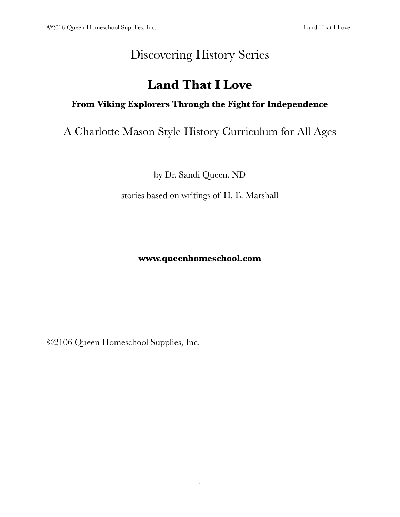# Discovering History Series

## **Land That I Love**

## **From Viking Explorers Through the Fight for Independence**

## A Charlotte Mason Style History Curriculum for All Ages

by Dr. Sandi Queen, ND

stories based on writings of H. E. Marshall

#### **www.queenhomeschool.com**

©2106 Queen Homeschool Supplies, Inc.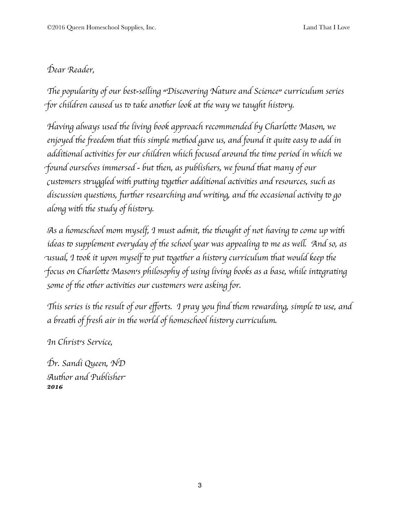## D*ear Reader,*

"*e populari*# *of our best-se*\$*ing "Discovering Nature and Science" curriculum series for children caused us to take another look at the way we taught history.* 

H*aving always used* '*e living book approach recommended by Charlo*)*e Mason, we enjoyed* '*e* \**eedom* '*at* '*is simple me*'*od gave us, and found it qui*+ *easy* & *add in addi*,*onal ac*,*vi*,*es for our children which focused around* '*e* ,*me period in which we* f*ound ourselves immersed - but* '*en, as publishers, we found* '*at many of our* c*us*&*mers s*.*uggled wi*' *pu*)*ing* &*ge*'*er addi*,*onal ac*,*vi*,*es and resources, such as discussion questions, further researching and writing, and the occasional activity to go along* with the study of history.

A*s a homeschool mom myself, I must admit,* '*e* '*ought of not having* & *come up wi*' *ideas* to supplement everyday of the school year was appealing to me as well. And so, as u*sual, I* &*ok it upon myself* & *put* &*ge*'*er a his*&*ry curriculum* '*at would keep* '*e* focus on Charlotte Mason's philosophy of using living books as a base, while integrating s*ome of* '*e o*'*er ac*,*vi*,*es our cus*&*mers were asking for.*

This series is the result of our efforts. I pray you find them rewarding, simple to use, and *a brea*' *of* \**esh air in* '*e world of homeschool his*&*ry curriculum.*

I*n Christ's Service,*

D*r. Sandi Queen, ND* A*u*'*or and Publishe*r *2016*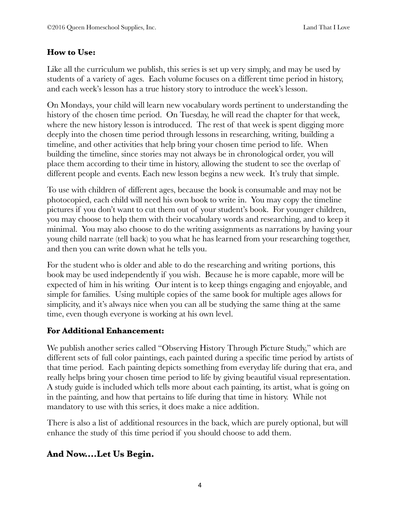#### **How to Use:**

Like all the curriculum we publish, this series is set up very simply, and may be used by students of a variety of ages. Each volume focuses on a different time period in history, and each week's lesson has a true history story to introduce the week's lesson.

On Mondays, your child will learn new vocabulary words pertinent to understanding the history of the chosen time period. On Tuesday, he will read the chapter for that week, where the new history lesson is introduced. The rest of that week is spent digging more deeply into the chosen time period through lessons in researching, writing, building a timeline, and other activities that help bring your chosen time period to life. When building the timeline, since stories may not always be in chronological order, you will place them according to their time in history, allowing the student to see the overlap of different people and events. Each new lesson begins a new week. It's truly that simple.

To use with children of different ages, because the book is consumable and may not be photocopied, each child will need his own book to write in. You may copy the timeline pictures if you don't want to cut them out of your student's book. For younger children, you may choose to help them with their vocabulary words and researching, and to keep it minimal. You may also choose to do the writing assignments as narrations by having your young child narrate (tell back) to you what he has learned from your researching together, and then you can write down what he tells you.

For the student who is older and able to do the researching and writing portions, this book may be used independently if you wish. Because he is more capable, more will be expected of him in his writing. Our intent is to keep things engaging and enjoyable, and simple for families. Using multiple copies of the same book for multiple ages allows for simplicity, and it's always nice when you can all be studying the same thing at the same time, even though everyone is working at his own level.

#### **For Additional Enhancement:**

We publish another series called "Observing History Through Picture Study," which are different sets of full color paintings, each painted during a specific time period by artists of that time period. Each painting depicts something from everyday life during that era, and really helps bring your chosen time period to life by giving beautiful visual representation. A study guide is included which tells more about each painting, its artist, what is going on in the painting, and how that pertains to life during that time in history. While not mandatory to use with this series, it does make a nice addition.

There is also a list of additional resources in the back, which are purely optional, but will enhance the study of this time period if you should choose to add them.

#### **And Now....Let Us Begin.**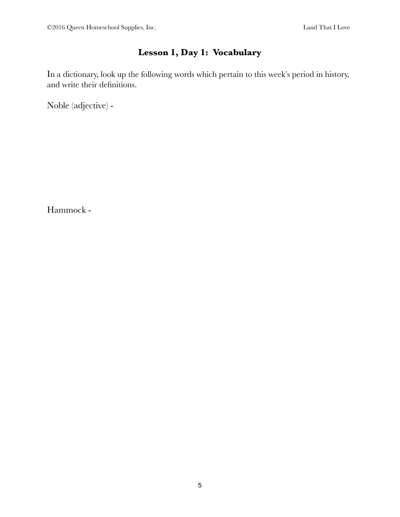## **Lesson 1, Day 1: Vocabulary**

In a dictionary, look up the following words which pertain to this week's period in history, and write their definitions.

Noble (adjective) -

Hammock -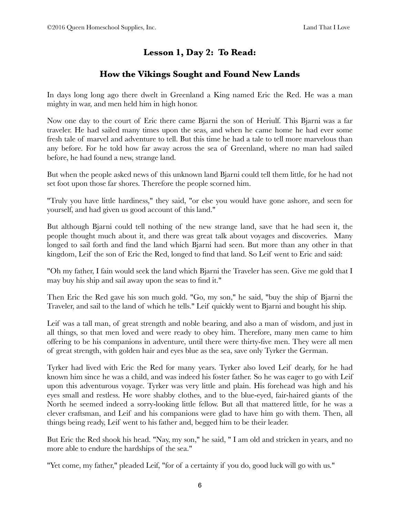## **Lesson 1, Day 2: To Read:**

#### **How the Vikings Sought and Found New Lands**

In days long long ago there dwelt in Greenland a King named Eric the Red. He was a man mighty in war, and men held him in high honor.

Now one day to the court of Eric there came Bjarni the son of Heriulf. This Bjarni was a far traveler. He had sailed many times upon the seas, and when he came home he had ever some fresh tale of marvel and adventure to tell. But this time he had a tale to tell more marvelous than any before. For he told how far away across the sea of Greenland, where no man had sailed before, he had found a new, strange land.

But when the people asked news of this unknown land Bjarni could tell them little, for he had not set foot upon those far shores. Therefore the people scorned him.

"Truly you have little hardiness," they said, "or else you would have gone ashore, and seen for yourself, and had given us good account of this land."

But although Bjarni could tell nothing of the new strange land, save that he had seen it, the people thought much about it, and there was great talk about voyages and discoveries. Many longed to sail forth and find the land which Bjarni had seen. But more than any other in that kingdom, Leif the son of Eric the Red, longed to find that land. So Leif went to Eric and said:

"Oh my father, I fain would seek the land which Bjarni the Traveler has seen. Give me gold that I may buy his ship and sail away upon the seas to find it."

Then Eric the Red gave his son much gold. "Go, my son," he said, "buy the ship of Bjarni the Traveler, and sail to the land of which he tells." Leif quickly went to Bjarni and bought his ship.

Leif was a tall man, of great strength and noble bearing, and also a man of wisdom, and just in all things, so that men loved and were ready to obey him. Therefore, many men came to him offering to be his companions in adventure, until there were thirty-five men. They were all men of great strength, with golden hair and eyes blue as the sea, save only Tyrker the German.

Tyrker had lived with Eric the Red for many years. Tyrker also loved Leif dearly, for he had known him since he was a child, and was indeed his foster father. So he was eager to go with Leif upon this adventurous voyage. Tyrker was very little and plain. His forehead was high and his eyes small and restless. He wore shabby clothes, and to the blue-eyed, fair-haired giants of the North he seemed indeed a sorry-looking little fellow. But all that mattered little, for he was a clever craftsman, and Leif and his companions were glad to have him go with them. Then, all things being ready, Leif went to his father and, begged him to be their leader.

But Eric the Red shook his head. "Nay, my son," he said, " I am old and stricken in years, and no more able to endure the hardships of the sea."

"Yet come, my father," pleaded Leif, "for of a certainty if you do, good luck will go with us."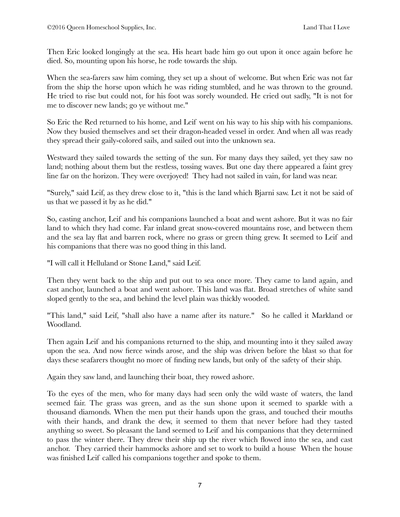Then Eric looked longingly at the sea. His heart bade him go out upon it once again before he died. So, mounting upon his horse, he rode towards the ship.

When the sea-farers saw him coming, they set up a shout of welcome. But when Eric was not far from the ship the horse upon which he was riding stumbled, and he was thrown to the ground. He tried to rise but could not, for his foot was sorely wounded. He cried out sadly, "It is not for me to discover new lands; go ye without me."

So Eric the Red returned to his home, and Leif went on his way to his ship with his companions. Now they busied themselves and set their dragon-headed vessel in order. And when all was ready they spread their gaily-colored sails, and sailed out into the unknown sea.

Westward they sailed towards the setting of the sun. For many days they sailed, yet they saw no land; nothing about them but the restless, tossing waves. But one day there appeared a faint grey line far on the horizon. They were overjoyed! They had not sailed in vain, for land was near.

"Surely," said Leif, as they drew close to it, "this is the land which Bjarni saw. Let it not be said of us that we passed it by as he did."

So, casting anchor, Leif and his companions launched a boat and went ashore. But it was no fair land to which they had come. Far inland great snow-covered mountains rose, and between them and the sea lay flat and barren rock, where no grass or green thing grew. It seemed to Leif and his companions that there was no good thing in this land.

"I will call it Helluland or Stone Land," said Leif.

Then they went back to the ship and put out to sea once more. They came to land again, and cast anchor, launched a boat and went ashore. This land was flat. Broad stretches of white sand sloped gently to the sea, and behind the level plain was thickly wooded.

"This land," said Leif, "shall also have a name after its nature." So he called it Markland or Woodland.

Then again Leif and his companions returned to the ship, and mounting into it they sailed away upon the sea. And now fierce winds arose, and the ship was driven before the blast so that for days these seafarers thought no more of finding new lands, but only of the safety of their ship.

Again they saw land, and launching their boat, they rowed ashore.

To the eyes of the men, who for many days had seen only the wild waste of waters, the land seemed fair. The grass was green, and as the sun shone upon it seemed to sparkle with a thousand diamonds. When the men put their hands upon the grass, and touched their mouths with their hands, and drank the dew, it seemed to them that never before had they tasted anything so sweet. So pleasant the land seemed to Leif and his companions that they determined to pass the winter there. They drew their ship up the river which flowed into the sea, and cast anchor. They carried their hammocks ashore and set to work to build a house When the house was finished Leif called his companions together and spoke to them.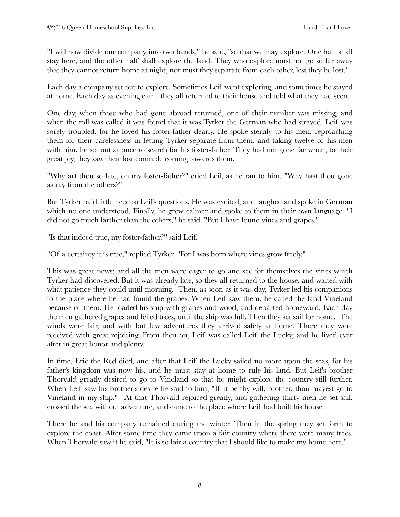"I will now divide our company into two bands," he said, "so that we may explore. One half shall stay here, and the other half shall explore the land. They who explore must not go so far away that they cannot return home at night, nor must they separate from each other, lest they be lost."

Each day a company set out to explore. Sometimes Leif went exploring, and sometimes he stayed at home. Each day as evening came they all returned to their house and told what they had seen.

One day, when those who had gone abroad returned, one of their number was missing, and when the roll was called it was found that it was Tyrker the German who had strayed. Leif was sorely troubled, for he loved his foster-father dearly. He spoke sternly to his men, reproaching them for their carelessness in letting Tyrker separate from them, and taking twelve of his men with him, he set out at once to search for his foster-father. They had not gone far when, to their great joy, they saw their lost comrade coming towards them.

"Why art thou so late, oh my foster-father?" cried Leif, as he ran to him. "Why hast thou gone astray from the others?"

But Tyrker paid little heed to Leif's questions. He was excited, and laughed and spoke in German which no one understood. Finally, he grew calmer and spoke to them in their own language. "I did not go much farther than the others," he said. "But I have found vines and grapes."

"Is that indeed true, my foster-father?" said Leif.

"Of a certainty it is true," replied Tyrker. "For I was born where vines grow freely."

This was great news; and all the men were eager to go and see for themselves the vines which Tyrker had discovered. But it was already late, so they all returned to the house, and waited with what patience they could until morning. Then, as soon as it was day, Tyrker led his companions to the place where he had found the grapes. When Leif saw them, he called the land Vineland because of them. He loaded his ship with grapes and wood, and departed homeward. Each day the men gathered grapes and felled trees, until the ship was full. Then they set sail for home. The winds were fair, and with but few adventures they arrived safely at home. There they were received with great rejoicing. From then on, Leif was called Leif the Lucky, and he lived ever after in great honor and plenty.

In time, Eric the Red died, and after that Leif the Lucky sailed no more upon the seas, for his father's kingdom was now his, and he must stay at home to rule his land. But Leif's brother Thorvald greatly desired to go to Vineland so that he might explore the country still further. When Leif saw his brother's desire he said to him, "If it be thy will, brother, thou mayest go to Vineland in my ship." At that Thorvald rejoiced greatly, and gathering thirty men he set sail, crossed the sea without adventure, and came to the place where Leif had built his house.

There he and his company remained during the winter. Then in the spring they set forth to explore the coast. After some time they came upon a fair country where there were many trees. When Thorvald saw it he said, "It is so fair a country that I should like to make my home here."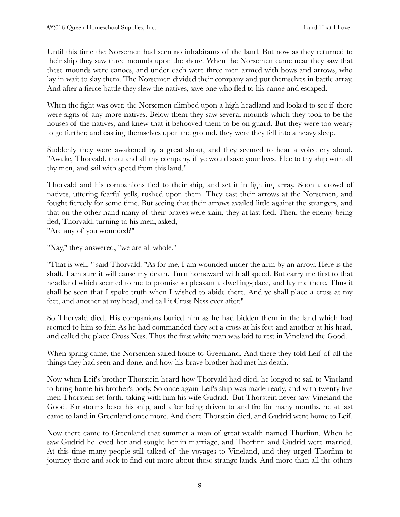Until this time the Norsemen had seen no inhabitants of the land. But now as they returned to their ship they saw three mounds upon the shore. When the Norsemen came near they saw that these mounds were canoes, and under each were three men armed with bows and arrows, who lay in wait to slay them. The Norsemen divided their company and put themselves in battle array. And after a fierce battle they slew the natives, save one who fled to his canoe and escaped.

When the fight was over, the Norsemen climbed upon a high headland and looked to see if there were signs of any more natives. Below them they saw several mounds which they took to be the houses of the natives, and knew that it behooved them to be on guard. But they were too weary to go further, and casting themselves upon the ground, they were they fell into a heavy sleep.

Suddenly they were awakened by a great shout, and they seemed to hear a voice cry aloud, "Awake, Thorvald, thou and all thy company, if ye would save your lives. Flee to thy ship with all thy men, and sail with speed from this land."

Thorvald and his companions fled to their ship, and set it in fighting array. Soon a crowd of natives, uttering fearful yells, rushed upon them. They cast their arrows at the Norsemen, and fought fiercely for some time. But seeing that their arrows availed little against the strangers, and that on the other hand many of their braves were slain, they at last fled. Then, the enemy being fled, Thorvald, turning to his men, asked, "Are any of you wounded?"

"Nay," they answered, "we are all whole."

"That is well, " said Thorvald. "As for me, I am wounded under the arm by an arrow. Here is the shaft. I am sure it will cause my death. Turn homeward with all speed. But carry me first to that headland which seemed to me to promise so pleasant a dwelling-place, and lay me there. Thus it shall be seen that I spoke truth when I wished to abide there. And ye shall place a cross at my feet, and another at my head, and call it Cross Ness ever after."

So Thorvald died. His companions buried him as he had bidden them in the land which had seemed to him so fair. As he had commanded they set a cross at his feet and another at his head, and called the place Cross Ness. Thus the first white man was laid to rest in Vineland the Good.

When spring came, the Norsemen sailed home to Greenland. And there they told Leif of all the things they had seen and done, and how his brave brother had met his death.

Now when Leif's brother Thorstein heard how Thorvald had died, he longed to sail to Vineland to bring home his brother's body. So once again Leif's ship was made ready, and with twenty five men Thorstein set forth, taking with him his wife Gudrid. But Thorstein never saw Vineland the Good. For storms beset his ship, and after being driven to and fro for many months, he at last came to land in Greenland once more. And there Thorstein died, and Gudrid went home to Leif.

Now there came to Greenland that summer a man of great wealth named Thorfinn. When he saw Gudrid he loved her and sought her in marriage, and Thorfinn and Gudrid were married. At this time many people still talked of the voyages to Vineland, and they urged Thorfinn to journey there and seek to find out more about these strange lands. And more than all the others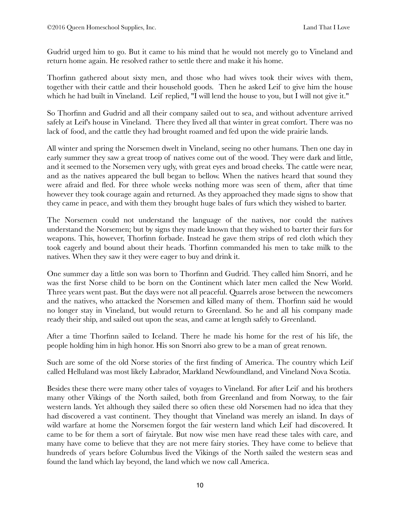Gudrid urged him to go. But it came to his mind that he would not merely go to Vineland and return home again. He resolved rather to settle there and make it his home.

Thorfinn gathered about sixty men, and those who had wives took their wives with them, together with their cattle and their household goods. Then he asked Leif to give him the house which he had built in Vineland. Leif replied, "I will lend the house to you, but I will not give it."

So Thorfinn and Gudrid and all their company sailed out to sea, and without adventure arrived safely at Leif's house in Vineland. There they lived all that winter in great comfort. There was no lack of food, and the cattle they had brought roamed and fed upon the wide prairie lands.

All winter and spring the Norsemen dwelt in Vineland, seeing no other humans. Then one day in early summer they saw a great troop of natives come out of the wood. They were dark and little, and it seemed to the Norsemen very ugly, with great eyes and broad cheeks. The cattle were near, and as the natives appeared the bull began to bellow. When the natives heard that sound they were afraid and fled. For three whole weeks nothing more was seen of them, after that time however they took courage again and returned. As they approached they made signs to show that they came in peace, and with them they brought huge bales of furs which they wished to barter.

The Norsemen could not understand the language of the natives, nor could the natives understand the Norsemen; but by signs they made known that they wished to barter their furs for weapons. This, however, Thorfinn forbade. Instead he gave them strips of red cloth which they took eagerly and bound about their heads. Thorfinn commanded his men to take milk to the natives. When they saw it they were eager to buy and drink it.

One summer day a little son was born to Thorfinn and Gudrid. They called him Snorri, and he was the first Norse child to be born on the Continent which later men called the New World. Three years went past. But the days were not all peaceful. Quarrels arose between the newcomers and the natives, who attacked the Norsemen and killed many of them. Thorfinn said he would no longer stay in Vineland, but would return to Greenland. So he and all his company made ready their ship, and sailed out upon the seas, and came at length safely to Greenland.

After a time Thorfinn sailed to Iceland. There he made his home for the rest of his life, the people holding him in high honor. His son Snorri also grew to be a man of great renown.

Such are some of the old Norse stories of the first finding of America. The country which Leif called Helluland was most likely Labrador, Markland Newfoundland, and Vineland Nova Scotia.

Besides these there were many other tales of voyages to Vineland. For after Leif and his brothers many other Vikings of the North sailed, both from Greenland and from Norway, to the fair western lands. Yet although they sailed there so often these old Norsemen had no idea that they had discovered a vast continent. They thought that Vineland was merely an island. In days of wild warfare at home the Norsemen forgot the fair western land which Leif had discovered. It came to be for them a sort of fairytale. But now wise men have read these tales with care, and many have come to believe that they are not mere fairy stories. They have come to believe that hundreds of years before Columbus lived the Vikings of the North sailed the western seas and found the land which lay beyond, the land which we now call America.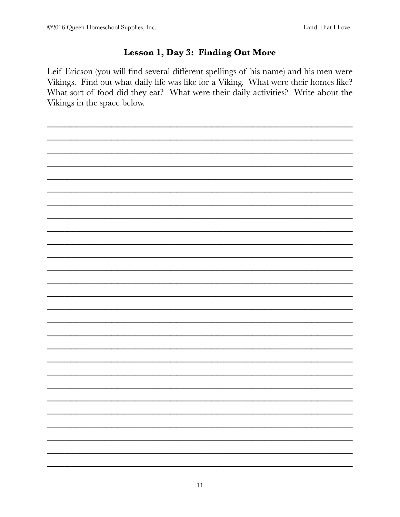## Lesson 1, Day 3: Finding Out More

Leif Ericson (you will find several different spellings of his name) and his men were Vikings. Find out what daily life was like for a Viking. What were their homes like? What sort of food did they eat? What were their daily activities? Write about the Vikings in the space below.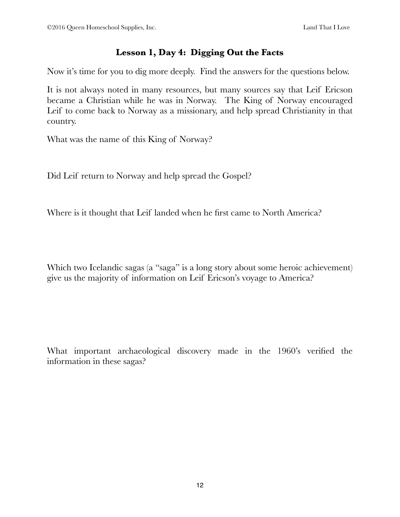#### **Lesson 1, Day 4: Digging Out the Facts**

Now it's time for you to dig more deeply. Find the answers for the questions below.

It is not always noted in many resources, but many sources say that Leif Ericson became a Christian while he was in Norway. The King of Norway encouraged Leif to come back to Norway as a missionary, and help spread Christianity in that country.

What was the name of this King of Norway?

Did Leif return to Norway and help spread the Gospel?

Where is it thought that Leif landed when he first came to North America?

Which two Icelandic sagas (a "saga" is a long story about some heroic achievement) give us the majority of information on Leif Ericson's voyage to America?

What important archaeological discovery made in the 1960's verified the information in these sagas?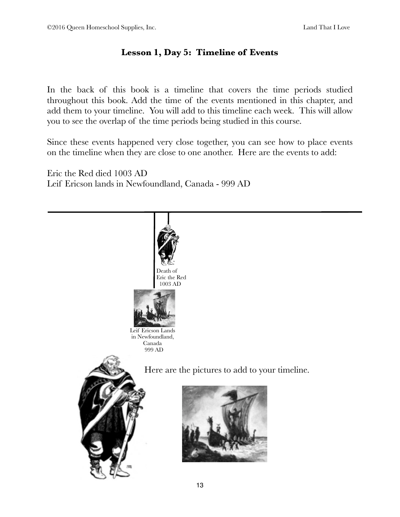## **Lesson 1, Day 5: Timeline of Events**

In the back of this book is a timeline that covers the time periods studied throughout this book. Add the time of the events mentioned in this chapter, and add them to your timeline. You will add to this timeline each week. This will allow you to see the overlap of the time periods being studied in this course.

Since these events happened very close together, you can see how to place events on the timeline when they are close to one another. Here are the events to add:

Eric the Red died 1003 AD Leif Ericson lands in Newfoundland, Canada - 999 AD

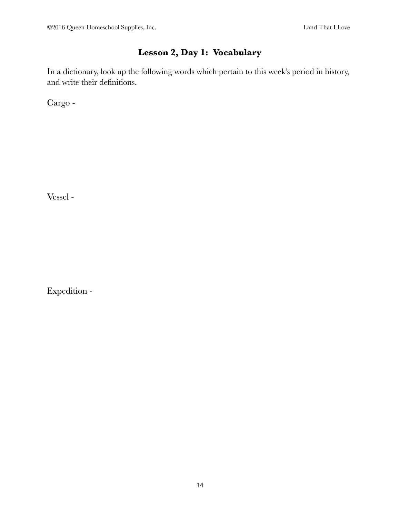## **Lesson 2, Day 1: Vocabulary**

In a dictionary, look up the following words which pertain to this week's period in history, and write their definitions.

Cargo -

Vessel -

Expedition -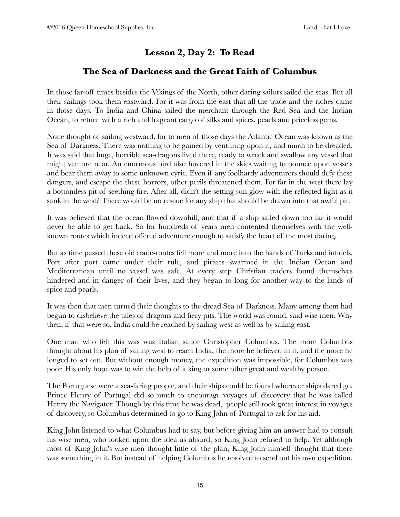## **Lesson 2, Day 2: To Read**

#### **The Sea of Darkness and the Great Faith of Columbus**

In those far-off times besides the Vikings of the North, other daring sailors sailed the seas. But all their sailings took them eastward. For it was from the east that all the trade and the riches came in those days. To India and China sailed the merchant through the Red Sea and the Indian Ocean, to return with a rich and fragrant cargo of silks and spices, pearls and priceless gems.

None thought of sailing westward, for to men of those days the Atlantic Ocean was known as the Sea of Darkness. There was nothing to be gained by venturing upon it, and much to be dreaded. It was said that huge, horrible sea-dragons lived there, ready to wreck and swallow any vessel that might venture near. An enormous bird also hovered in the skies waiting to pounce upon vessels and bear them away to some unknown eyrie. Even if any foolhardy adventurers should defy these dangers, and escape the these horrors, other perils threatened them. For far in the west there lay a bottomless pit of seething fire. After all, didn't the setting sun glow with the reflected light as it sank in the west? There would be no rescue for any ship that should be drawn into that awful pit.

It was believed that the ocean flowed downhill, and that if a ship sailed down too far it would never be able to get back. So for hundreds of years men contented themselves with the wellknown routes which indeed offered adventure enough to satisfy the heart of the most daring.

But as time passed these old trade-routes fell more and more into the hands of Turks and infidels. Port after port came under their rule, and pirates swarmed in the Indian Ocean and Mediterranean until no vessel was safe. At every step Christian traders found themselves hindered and in danger of their lives, and they began to long for another way to the lands of spice and pearls.

It was then that men turned their thoughts to the dread Sea of Darkness. Many among them had begun to disbelieve the tales of dragons and fiery pits. The world was round, said wise men. Why then, if that were so, India could be reached by sailing west as well as by sailing east.

One man who felt this was was Italian sailor Christopher Columbus. The more Columbus thought about his plan of sailing west to reach India, the more he believed in it, and the more he longed to set out. But without enough money, the expedition was impossible, for Columbus was poor. His only hope was to win the help of a king or some other great and wealthy person.

The Portuguese were a sea-faring people, and their ships could be found wherever ships dared go. Prince Henry of Portugal did so much to encourage voyages of discovery that he was called Henry the Navigator. Though by this time he was dead, people still took great interest in voyages of discovery, so Columbus determined to go to King John of Portugal to ask for his aid.

King John listened to what Columbus had to say, but before giving him an answer had to consult his wise men, who looked upon the idea as absurd, so King John refused to help. Yet although most of King John's wise men thought little of the plan, King John himself thought that there was something in it. But instead of helping Columbus he resolved to send out his own expedition.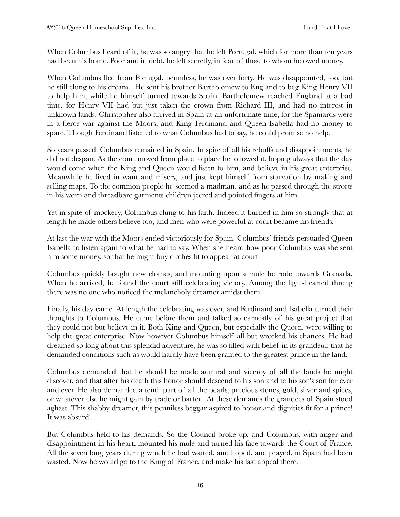When Columbus heard of it, he was so angry that he left Portugal, which for more than ten years had been his home. Poor and in debt, he left secretly, in fear of those to whom he owed money.

When Columbus fled from Portugal, penniless, he was over forty. He was disappointed, too, but he still clung to his dream. He sent his brother Bartholomew to England to beg King Henry VII to help him, while he himself turned towards Spain. Bartholomew reached England at a bad time, for Henry VII had but just taken the crown from Richard III, and had no interest in unknown lands. Christopher also arrived in Spain at an unfortunate time, for the Spaniards were in a fierce war against the Moors, and King Ferdinand and Queen Isabella had no money to spare. Though Ferdinand listened to what Columbus had to say, he could promise no help.

So years passed. Columbus remained in Spain. In spite of all his rebuffs and disappointments, he did not despair. As the court moved from place to place he followed it, hoping always that the day would come when the King and Queen would listen to him, and believe in his great enterprise. Meanwhile he lived in want and misery, and just kept himself from starvation by making and selling maps. To the common people he seemed a madman, and as he passed through the streets in his worn and threadbare garments children jeered and pointed fingers at him.

Yet in spite of mockery, Columbus clung to his faith. Indeed it burned in him so strongly that at length he made others believe too, and men who were powerful at court became his friends.

At last the war with the Moors ended victoriously for Spain. Columbus' friends persuaded Queen Isabella to listen again to what he had to say. When she heard how poor Columbus was she sent him some money, so that he might buy clothes fit to appear at court.

Columbus quickly bought new clothes, and mounting upon a mule he rode towards Granada. When he arrived, he found the court still celebrating victory. Among the light-hearted throng there was no one who noticed the melancholy dreamer amidst them.

Finally, his day came. At length the celebrating was over, and Ferdinand and Isabella turned their thoughts to Columbus. He came before them and talked so earnestly of his great project that they could not but believe in it. Both King and Queen, but especially the Queen, were willing to help the great enterprise. Now however Columbus himself all but wrecked his chances. He had dreamed so long about this splendid adventure, he was so filled with belief in its grandeur, that he demanded conditions such as would hardly have been granted to the greatest prince in the land.

Columbus demanded that he should be made admiral and viceroy of all the lands he might discover, and that after his death this honor should descend to his son and to his son's son for ever and ever. He also demanded a tenth part of all the pearls, precious stones, gold, silver and spices, or whatever else he might gain by trade or barter. At these demands the grandees of Spain stood aghast. This shabby dreamer, this penniless beggar aspired to honor and dignities fit for a prince! It was absurd!.

But Columbus held to his demands. So the Council broke up, and Columbus, with anger and disappointment in his heart, mounted his mule and turned his face towards the Court of France. All the seven long years during which he had waited, and hoped, and prayed, in Spain had been wasted. Now he would go to the King of France, and make his last appeal there.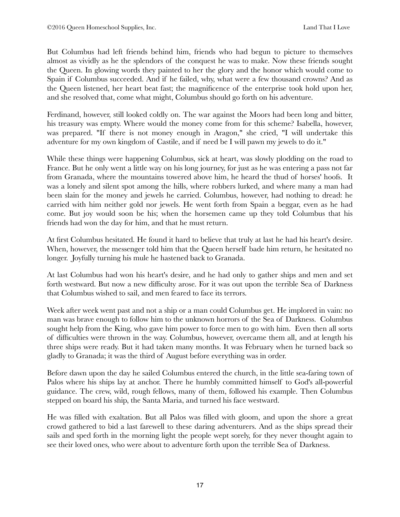But Columbus had left friends behind him, friends who had begun to picture to themselves almost as vividly as he the splendors of the conquest he was to make. Now these friends sought the Queen. In glowing words they painted to her the glory and the honor which would come to Spain if Columbus succeeded. And if he failed, why, what were a few thousand crowns? And as the Queen listened, her heart beat fast; the magnificence of the enterprise took hold upon her, and she resolved that, come what might, Columbus should go forth on his adventure.

Ferdinand, however, still looked coldly on. The war against the Moors had been long and bitter, his treasury was empty. Where would the money come from for this scheme? Isabella, however, was prepared. "If there is not money enough in Aragon," she cried, "I will undertake this adventure for my own kingdom of Castile, and if need be I will pawn my jewels to do it."

While these things were happening Columbus, sick at heart, was slowly plodding on the road to France. But he only went a little way on his long journey, for just as he was entering a pass not far from Granada, where the mountains towered above him, he heard the thud of horses' hoofs. It was a lonely and silent spot among the hills, where robbers lurked, and where many a man had been slain for the money and jewels he carried. Columbus, however, had nothing to dread: he carried with him neither gold nor jewels. He went forth from Spain a beggar, even as he had come. But joy would soon be his; when the horsemen came up they told Columbus that his friends had won the day for him, and that he must return.

At first Columbus hesitated. He found it hard to believe that truly at last he had his heart's desire. When, however, the messenger told him that the Queen herself bade him return, he hesitated no longer. Joyfully turning his mule he hastened back to Granada.

At last Columbus had won his heart's desire, and he had only to gather ships and men and set forth westward. But now a new difficulty arose. For it was out upon the terrible Sea of Darkness that Columbus wished to sail, and men feared to face its terrors.

Week after week went past and not a ship or a man could Columbus get. He implored in vain: no man was brave enough to follow him to the unknown horrors of the Sea of Darkness. Columbus sought help from the King, who gave him power to force men to go with him. Even then all sorts of difficulties were thrown in the way. Columbus, however, overcame them all, and at length his three ships were ready. But it had taken many months. It was February when he turned back so gladly to Granada; it was the third of August before everything was in order.

Before dawn upon the day he sailed Columbus entered the church, in the little sea-faring town of Palos where his ships lay at anchor. There he humbly committed himself to God's all-powerful guidance. The crew, wild, rough fellows, many of them, followed his example. Then Columbus stepped on board his ship, the Santa Maria, and turned his face westward.

He was filled with exaltation. But all Palos was filled with gloom, and upon the shore a great crowd gathered to bid a last farewell to these daring adventurers. And as the ships spread their sails and sped forth in the morning light the people wept sorely, for they never thought again to see their loved ones, who were about to adventure forth upon the terrible Sea of Darkness.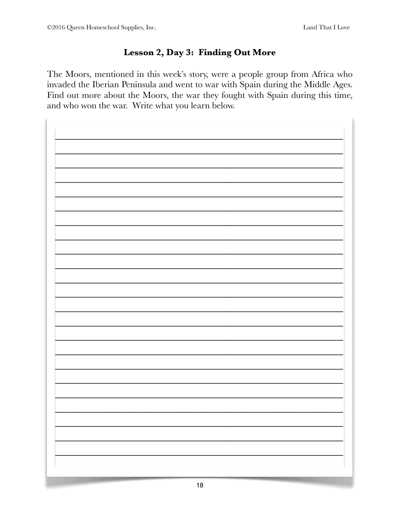## Lesson 2, Day 3: Finding Out More

The Moors, mentioned in this week's story, were a people group from Africa who invaded the Iberian Peninsula and went to war with Spain during the Middle Ages. Find out more about the Moors, the war they fought with Spain during this time, and who won the war. Write what you learn below.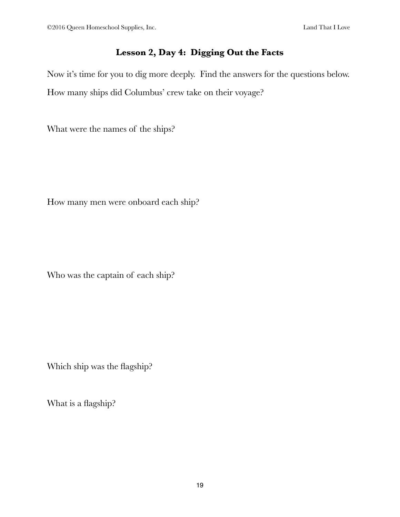#### **Lesson 2, Day 4: Digging Out the Facts**

Now it's time for you to dig more deeply. Find the answers for the questions below. How many ships did Columbus' crew take on their voyage?

What were the names of the ships?

How many men were onboard each ship?

Who was the captain of each ship?

Which ship was the flagship?

What is a flagship?